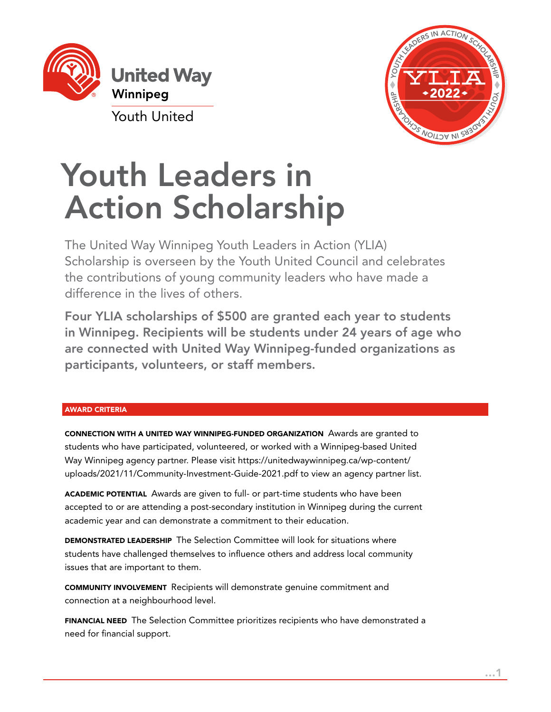

Youth United



# Youth Leaders in Action Scholarship

The United Way Winnipeg Youth Leaders in Action (YLIA) Scholarship is overseen by the Youth United Council and celebrates the contributions of young community leaders who have made a difference in the lives of others.

Four YLIA scholarships of \$500 are granted each year to students in Winnipeg. Recipients will be students under 24 years of age who are connected with United Way Winnipeg-funded organizations as participants, volunteers, or staff members.

# AWARD CRITERIA

CONNECTION WITH A UNITED WAY WINNIPEG-FUNDED ORGANIZATION Awards are granted to students who have participated, volunteered, or worked with a Winnipeg-based United Way Winnipeg agency partner. Please visit https://unitedwaywinnipeg.ca/wp-content/ uploads/2021/11/Community-Investment-Guide-2021.pdf to view an agency partner list.

ACADEMIC POTENTIAL Awards are given to full- or part-time students who have been accepted to or are attending a post-secondary institution in Winnipeg during the current academic year and can demonstrate a commitment to their education.

DEMONSTRATED LEADERSHIP The Selection Committee will look for situations where students have challenged themselves to influence others and address local community issues that are important to them.

COMMUNITY INVOLVEMENT Recipients will demonstrate genuine commitment and connection at a neighbourhood level.

FINANCIAL NEED The Selection Committee prioritizes recipients who have demonstrated a need for financial support.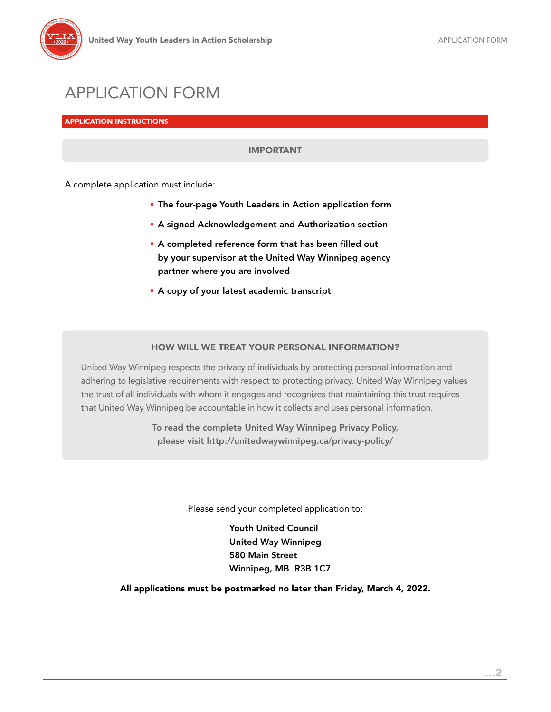

# APPLICATION FORM

APPLICATION INSTRUCTIONS

# IMPORTANT

A complete application must include:

- The four-page Youth Leaders in Action application form
- A signed Acknowledgement and Authorization section
- A completed reference form that has been filled out by your supervisor at the United Way Winnipeg agency partner where you are involved
- A copy of your latest academic transcript

# HOW WILL WE TREAT YOUR PERSONAL INFORMATION?

United Way Winnipeg respects the privacy of individuals by protecting personal information and adhering to legislative requirements with respect to protecting privacy. United Way Winnipeg values the trust of all individuals with whom it engages and recognizes that maintaining this trust requires that United Way Winnipeg be accountable in how it collects and uses personal information.

> To read the complete United Way Winnipeg Privacy Policy, please visit <http://unitedwaywinnipeg.ca/privacy-policy/>

> > Please send your completed application to:

Youth United Council United Way Winnipeg 580 Main Street Winnipeg, MB R3B 1C7

All applications must be postmarked no later than Friday, March 4, 2022.

…2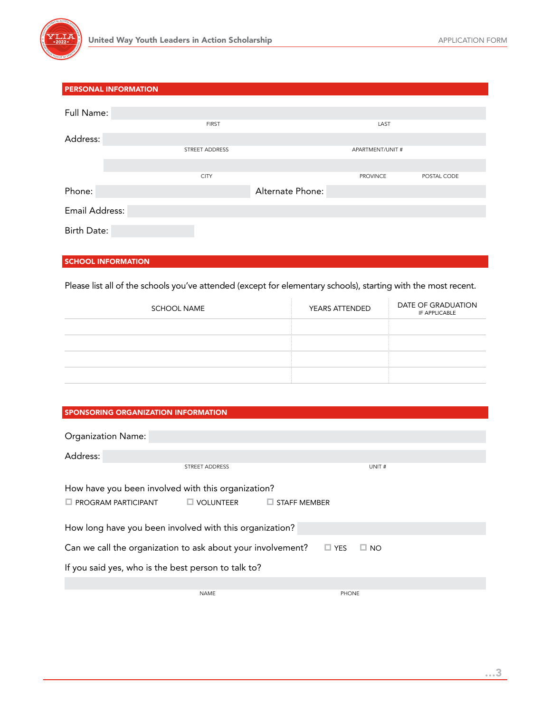

|                    | <b>PERSONAL INFORMATION</b> |                  |                  |             |
|--------------------|-----------------------------|------------------|------------------|-------------|
|                    |                             |                  |                  |             |
| Full Name:         |                             |                  |                  |             |
|                    | <b>FIRST</b>                |                  | LAST             |             |
| Address:           |                             |                  |                  |             |
|                    | STREET ADDRESS              |                  | APARTMENT/UNIT # |             |
|                    |                             |                  |                  |             |
|                    | <b>CITY</b>                 |                  | <b>PROVINCE</b>  | POSTAL CODE |
| Phone:             |                             | Alternate Phone: |                  |             |
| Email Address:     |                             |                  |                  |             |
|                    |                             |                  |                  |             |
| <b>Birth Date:</b> |                             |                  |                  |             |

#### SCHOOL INFORMATION

Please list all of the schools you've attended (except for elementary schools), starting with the most recent.

| <b>SCHOOL NAME</b> | YEARS ATTENDED | DATE OF GRADUATION<br>IF APPLICABLE |
|--------------------|----------------|-------------------------------------|
|                    |                |                                     |
|                    |                |                                     |
|                    |                |                                     |
|                    |                |                                     |

#### SPONSORING ORGANIZATION INFORMATION

| <b>Organization Name:</b>                                                 |                                      |              |
|---------------------------------------------------------------------------|--------------------------------------|--------------|
| Address:                                                                  |                                      |              |
|                                                                           | <b>STREET ADDRESS</b>                | UNIT#        |
| How have you been involved with this organization?                        |                                      |              |
| $\Box$ PROGRAM PARTICIPANT                                                | $\Box$ VOLUNTEER $\Box$ STAFF MEMBER |              |
| How long have you been involved with this organization?                   |                                      |              |
| Can we call the organization to ask about your involvement? $\square$ YES |                                      | $\Box$ NO    |
| If you said yes, who is the best person to talk to?                       |                                      |              |
|                                                                           |                                      |              |
|                                                                           | <b>NAME</b>                          | <b>PHONE</b> |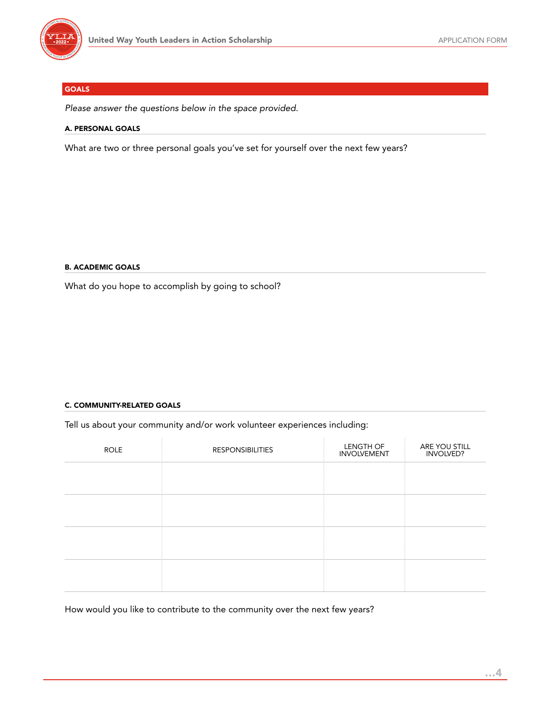

### GOALS

*Please answer the questions below in the space provided.*

#### A. PERSONAL GOALS

What are two or three personal goals you've set for yourself over the next few years?

#### B. ACADEMIC GOALS

What do you hope to accomplish by going to school?

#### C. COMMUNITY-RELATED GOALS

Tell us about your community and/or work volunteer experiences including:

| <b>ROLE</b> | <b>RESPONSIBILITIES</b> | LENGTH OF<br><b>INVOLVEMENT</b> | ARE YOU STILL<br>INVOLVED? |
|-------------|-------------------------|---------------------------------|----------------------------|
|             |                         |                                 |                            |
|             |                         |                                 |                            |
|             |                         |                                 |                            |
|             |                         |                                 |                            |
|             |                         |                                 |                            |
|             |                         |                                 |                            |

How would you like to contribute to the community over the next few years?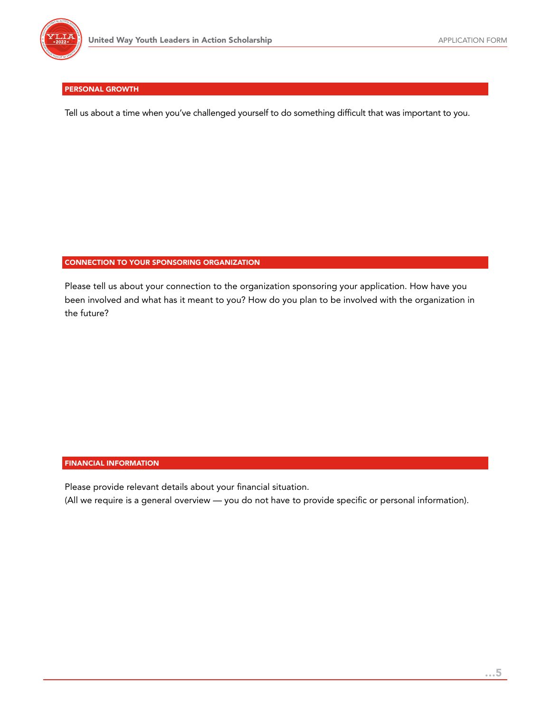

#### PERSONAL GROWTH

Tell us about a time when you've challenged yourself to do something difficult that was important to you.

#### CONNECTION TO YOUR SPONSORING ORGANIZATION

Please tell us about your connection to the organization sponsoring your application. How have you been involved and what has it meant to you? How do you plan to be involved with the organization in the future?

#### FINANCIAL INFORMATION

Please provide relevant details about your financial situation.

(All we require is a general overview — you do not have to provide specific or personal information).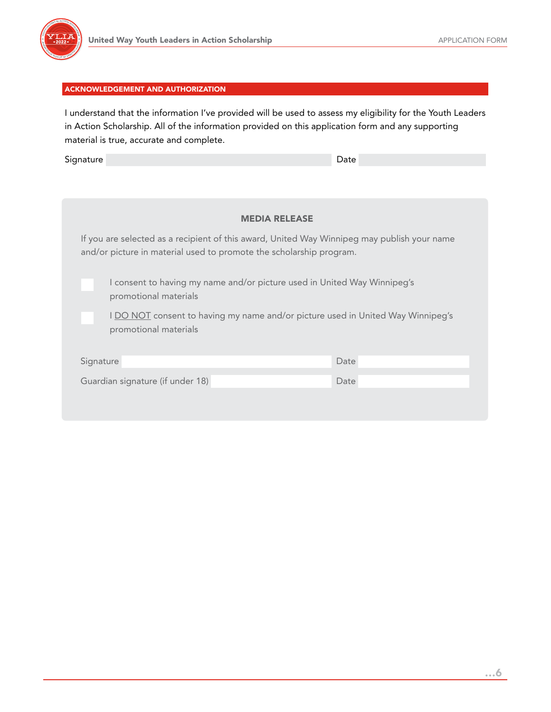

#### ACKNOWLEDGEMENT AND AUTHORIZATION

I understand that the information I've provided will be used to assess my eligibility for the Youth Leaders in Action Scholarship. All of the information provided on this application form and any supporting material is true, accurate and complete.

Signature Date Communication of the Communication of the Date Date

| <b>MEDIA RELEASE</b> |
|----------------------|
|                      |

If you are selected as a recipient of this award, United Way Winnipeg may publish your name and/or picture in material used to promote the scholarship program.

I consent to having my name and/or picture used in United Way Winnipeg's promotional materials

I DO NOT consent to having my name and/or picture used in United Way Winnipeg's promotional materials

| Signature                        | Date |
|----------------------------------|------|
| Guardian signature (if under 18) | Date |
|                                  |      |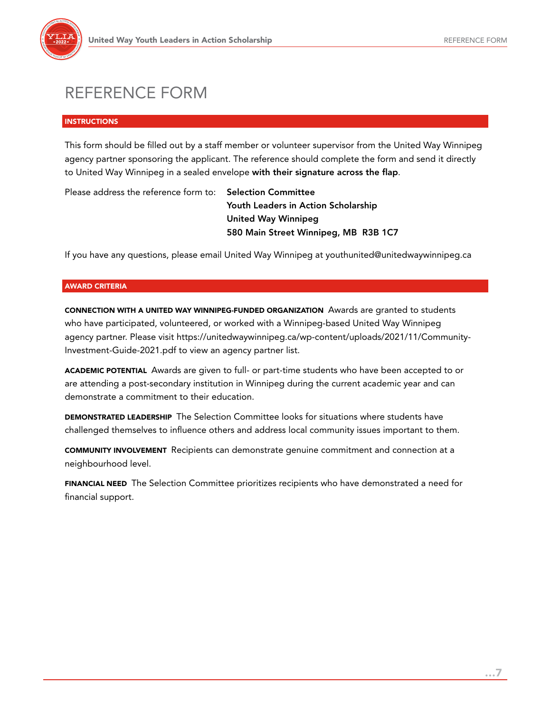

# REFERENCE FORM

#### **INSTRUCTIONS**

This form should be filled out by a staff member or volunteer supervisor from the United Way Winnipeg agency partner sponsoring the applicant. The reference should complete the form and send it directly to United Way Winnipeg in a sealed envelope with their signature across the flap.

Please address the reference form to: Selection Committee

Youth Leaders in Action Scholarship United Way Winnipeg 580 Main Street Winnipeg, MB R3B 1C7

If you have any questions, please email United Way Winnipeg at youthunited@unitedwaywinnipeg.ca

#### AWARD CRITERIA

CONNECTION WITH A UNITED WAY WINNIPEG-FUNDED ORGANIZATION Awards are granted to students who have participated, volunteered, or worked with a Winnipeg-based United Way Winnipeg agency partner. Please visit https://unitedwaywinnipeg.ca/wp-content/uploads/2021/11/Community-Investment-Guide-2021.pdf to view an agency partner list.

ACADEMIC POTENTIAL Awards are given to full- or part-time students who have been accepted to or are attending a post-secondary institution in Winnipeg during the current academic year and can demonstrate a commitment to their education.

DEMONSTRATED LEADERSHIP The Selection Committee looks for situations where students have challenged themselves to influence others and address local community issues important to them.

COMMUNITY INVOLVEMENT Recipients can demonstrate genuine commitment and connection at a neighbourhood level.

FINANCIAL NEED The Selection Committee prioritizes recipients who have demonstrated a need for financial support.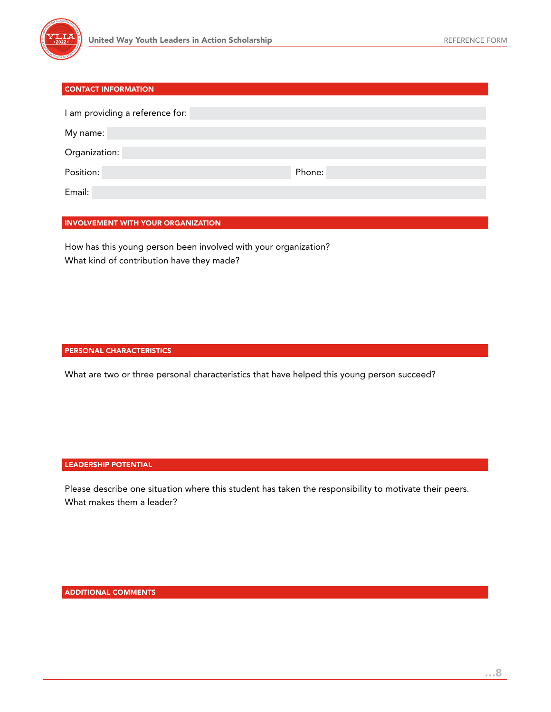

#### CONTACT INFORMATION

| I am providing a reference for: |        |
|---------------------------------|--------|
| My name:                        |        |
| Organization:                   |        |
| Position:                       | Phone: |
| Email:                          |        |

#### INVOLVEMENT WITH YOUR ORGANIZATION

How has this young person been involved with your organization? What kind of contribution have they made?

#### PERSONAL CHARACTERISTICS

What are two or three personal characteristics that have helped this young person succeed?

#### LEADERSHIP POTENTIAL

Please describe one situation where this student has taken the responsibility to motivate their peers. What makes them a leader?

ADDITIONAL COMMENTS